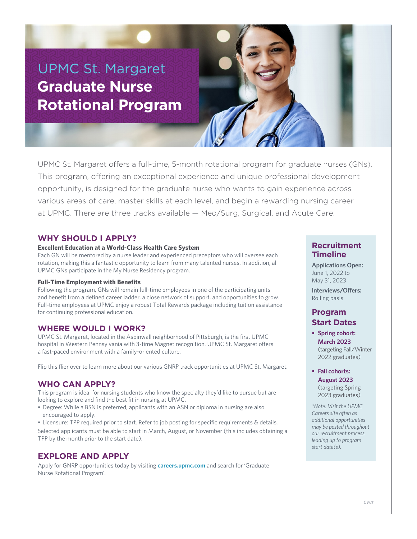# UPMC St. Margaret **Graduate Nurse Rotational Program**

UPMC St. Margaret offers a full-time, 5-month rotational program for graduate nurses (GNs). This program, offering an exceptional experience and unique professional development opportunity, is designed for the graduate nurse who wants to gain experience across various areas of care, master skills at each level, and begin a rewarding nursing career at UPMC. There are three tracks available — Med/Surg, Surgical, and Acute Care.

# **WHY SHOULD I APPLY?**

## **Excellent Education at a World-Class Health Care System**

Each GN will be mentored by a nurse leader and experienced preceptors who will oversee each rotation, making this a fantastic opportunity to learn from many talented nurses. In addition, all UPMC GNs participate in the My Nurse Residency program.

## **Full-Time Employment with Benefits**

Following the program, GNs will remain full-time employees in one of the participating units and benefit from a defined career ladder, a close network of support, and opportunities to grow. Full-time employees at UPMC enjoy a robust Total Rewards package including tuition assistance for continuing professional education.

# **WHERE WOULD I WORK?**

UPMC St. Margaret, located in the Aspinwall neighborhood of Pittsburgh, is the first UPMC hospital in Western Pennsylvania with 3-time Magnet recognition. UPMC St. Margaret offers a fast-paced environment with a family-oriented culture.

Flip this flier over to learn more about our various GNRP track opportunities at UPMC St. Margaret.

# **WHO CAN APPLY?**

This program is ideal for nursing students who know the specialty they'd like to pursue but are looking to explore and find the best fit in nursing at UPMC.

• Degree: While a BSN is preferred, applicants with an ASN or diploma in nursing are also encouraged to apply.

• Licensure: TPP required prior to start. Refer to job posting for specific requirements & details. Selected applicants must be able to start in March, August, or November (this includes obtaining a TPP by the month prior to the start date).

# **EXPLORE AND APPLY**

Apply for GNRP opportunities today by visiting **careers.upmc.com** and search for 'Graduate Nurse Rotational Program'.

# **Recruitment Timeline**

**Applications Open:** June 1, 2022 to May 31, 2023

**Interviews/Offers:** Rolling basis

# **Program Start Dates**

- **• Spring cohort: March 2023** (targeting Fall/Winter 2022 graduates)
- **• Fall cohorts: August 2023** (targeting Spring 2023 graduates)

*\*Note: Visit the UPMC Careers site often as additional opportunities may be posted throughout our recruitment process leading up to program start date(s).*